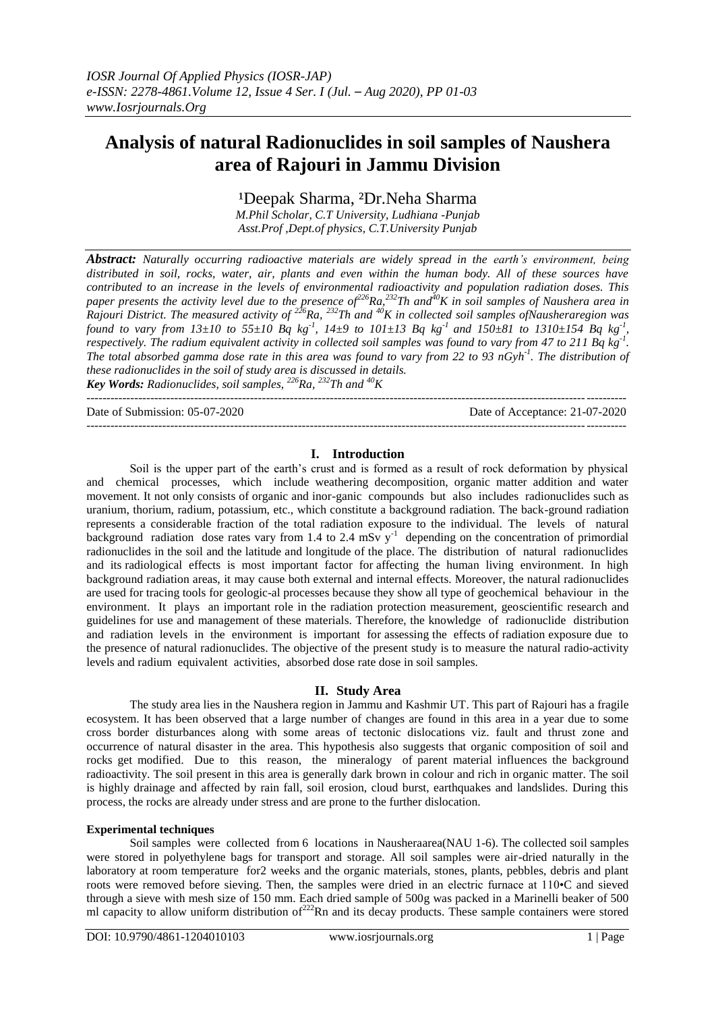# **[Analysis of natural Radionuclides in soil samples of Naushera](https://www.researchgate.net/publication/275717864_Analysis_of_natural_radionuclides_in_soil_samples_of_Purola_area_of_Garhwal_Himalaya_India?enrichId=rgreq-8f861f604b93586c0a265d9ef4b6a625-XXX&enrichSource=Y292ZXJQYWdlOzI3NTcxNzg2NDtBUzoyOTg3ODA4MzEzMDU3MjhAMTQ0ODI0NjMwOTA1OQ%3D%3D&el=1_x_3&_esc=publicationCoverPdf) [area of Rajouri](https://www.researchgate.net/publication/275717864_Analysis_of_natural_radionuclides_in_soil_samples_of_Purola_area_of_Garhwal_Himalaya_India?enrichId=rgreq-8f861f604b93586c0a265d9ef4b6a625-XXX&enrichSource=Y292ZXJQYWdlOzI3NTcxNzg2NDtBUzoyOTg3ODA4MzEzMDU3MjhAMTQ0ODI0NjMwOTA1OQ%3D%3D&el=1_x_3&_esc=publicationCoverPdf) in Jammu Division**

<sup>1</sup>Deepak Sharma, <sup>2</sup>Dr.Neha Sharma

*M.Phil Scholar, C.T University, Ludhiana -Punjab Asst.Prof ,Dept.of physics, C.T.University Punjab*

*Abstract: Naturally occurring radioactive materials are widely spread in the earth's environment, being distributed in soil, rocks, water, air, plants and even within the human body. All of these sources have contributed to an increase in the levels of environmental radioactivity and population radiation doses. This paper presents the activity level due to the presence of<sup>226</sup>Ra,<sup>232</sup>Th and<sup>40</sup>K in soil samples of Naushera area in Rajouri District. The measured activity of <sup>226</sup>Ra, <sup>232</sup>Th and <sup>40</sup>K in collected soil samples ofNausheraregion was found to vary from*  $13\pm10$  *to*  $55\pm10$  *Bq kg<sup>-1</sup>,*  $14\pm9$  *to*  $101\pm13$  *Bq kg<sup>-1</sup> and*  $150\pm81$  *to*  $1310\pm154$  *Bq kg<sup>-1</sup>, respectively. The radium equivalent activity in collected soil samples was found to vary from 47 to 211 Bq kg-1 . The total absorbed gamma dose rate in this area was found to vary from 22 to 93 nGyh<sup>-1</sup>. The distribution of these radionuclides in the soil of study area is discussed in details. Key Words: Radionuclides, soil samples, <sup>226</sup>Ra, <sup>232</sup>Th and <sup>40</sup>K*

---------------------------------------------------------------------------------------------------------------------------------------

Date of Submission: 05-07-2020 Date of Acceptance: 21-07-2020

---------------------------------------------------------------------------------------------------------------------------------------

## **I. Introduction**

Soil is the upper part of the earth's crust and is formed as a result of rock deformation by physical and chemical processes, which include weathering decomposition, organic matter addition and water movement. It not only consists of organic and inor-ganic compounds but also includes radionuclides such as uranium, thorium, radium, potassium, etc., which constitute a background radiation. The back-ground radiation represents a considerable fraction of the total radiation exposure to the individual. The levels of natural background radiation dose rates vary from 1.4 to 2.4 mSv  $y^{-1}$  depending on the concentration of primordial radionuclides in the soil and the latitude and longitude of the place. The distribution of natural radionuclides and its radiological effects is most important factor for affecting the human living environment. In high background radiation areas, it may cause both external and internal effects. Moreover, the natural radionuclides are used for tracing tools for geologic-al processes because they show all type of geochemical behaviour in the environment. It plays an important role in the radiation protection measurement, geoscientific research and guidelines for use and management of these materials. Therefore, the knowledge of radionuclide distribution and radiation levels in the environment is important for assessing the effects of radiation exposure due to the presence of natural radionuclides. The objective of the present study is to measure the natural radio-activity levels and radium equivalent activities, absorbed dose rate dose in soil samples.

### **II. Study Area**

The study area lies in the Naushera region in Jammu and Kashmir UT. This part of Rajouri has a fragile ecosystem. It has been observed that a large number of changes are found in this area in a year due to some cross border disturbances along with some areas of tectonic dislocations viz. fault and thrust zone and occurrence of natural disaster in the area. This hypothesis also suggests that organic composition of soil and rocks get modified. Due to this reason, the mineralogy of parent material influences the background radioactivity. The soil present in this area is generally dark brown in colour and rich in organic matter. The soil is highly drainage and affected by rain fall, soil erosion, cloud burst, earthquakes and landslides. During this process, the rocks are already under stress and are prone to the further dislocation.

### **Experimental techniques**

Soil samples were collected from 6 locations in Nausheraarea(NAU 1-6). The collected soil samples were stored in polyethylene bags for transport and storage. All soil samples were air-dried naturally in the laboratory at room temperature for2 weeks and the organic materials, stones, plants, pebbles, debris and plant roots were removed before sieving. Then, the samples were dried in an electric furnace at 110•C and sieved through a sieve with mesh size of 150 mm. Each dried sample of 500g was packed in a Marinelli beaker of 500 ml capacity to allow uniform distribution of $^{222}$ Rn and its decay products. These sample containers were stored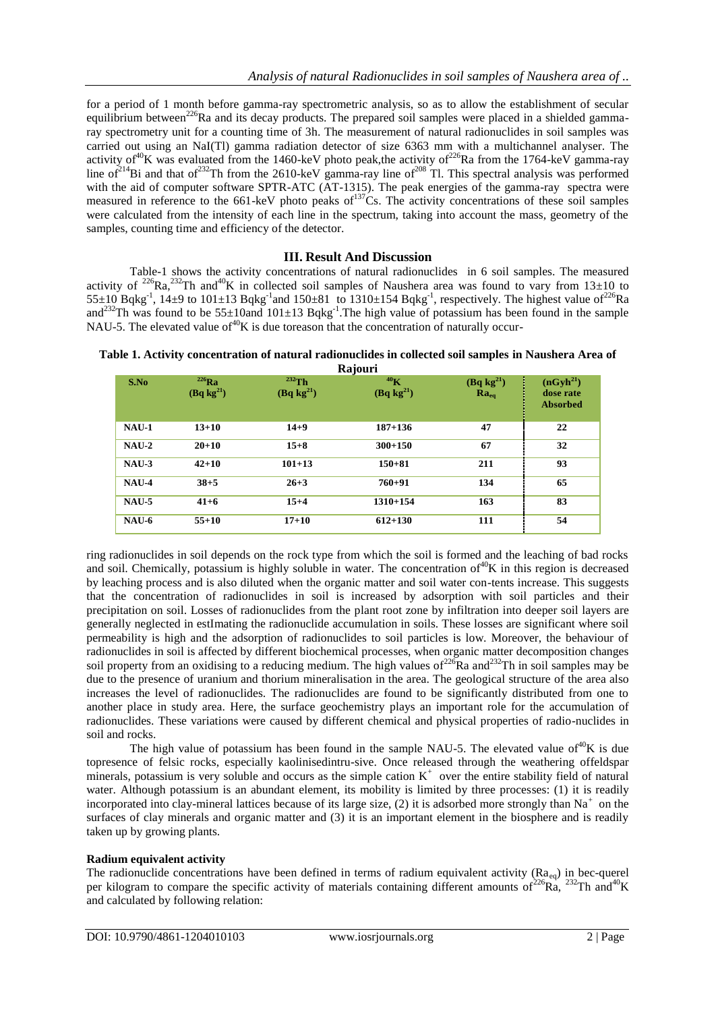for a period of 1 month before gamma-ray spectrometric analysis, so as to allow the establishment of secular equilibrium between<sup>226</sup>Ra and its decay products. The prepared soil samples were placed in a shielded gammaray spectrometry unit for a counting time of 3h. The measurement of natural radionuclides in soil samples was carried out using an NaI(Tl) gamma radiation detector of size 6363 mm with a multichannel analyser. The activity of <sup>40</sup>K was evaluated from the 1460-keV photo peak, the activity of <sup>226</sup>Ra from the 1764-keV gamma-ray line of<sup>214</sup>Bi and that of<sup>232</sup>Th from the 2610-keV gamma-ray line of<sup>208</sup> Tl. This spectral analysis was performed with the aid of computer software SPTR-ATC (AT-1315). The peak energies of the gamma-ray spectra were measured in reference to the 661-keV photo peaks of $137$ Cs. The activity concentrations of these soil samples were calculated from the intensity of each line in the spectrum, taking into account the mass, geometry of the samples, counting time and efficiency of the detector.

## **III. Result And Discussion**

Table-1 shows the activity concentrations of natural radionuclides in 6 soil samples. The measured activity of <sup>226</sup>Ra,<sup>232</sup>Th and<sup>40</sup>K in collected soil samples of Naushera area was found to vary from 13±10 to  $55\pm10$  Bqkg<sup>-1</sup>, 14 $\pm$ 9 to 101 $\pm$ 13 Bqkg<sup>-1</sup> and 150 $\pm$ 81 to 1310 $\pm$ 154 Bqkg<sup>-1</sup>, respectively. The highest value of<sup>226</sup>Ra and<sup>232</sup>Th was found to be 55±10and 101±13 Bqkg<sup>-1</sup>. The high value of potassium has been found in the sample NAU-5. The elevated value of  $40K$  is due toreason that the concentration of naturally occur-

| S.No         | $^{226}Ra$<br>(Bq kg <sup>21</sup> ) | $232$ Th<br>(Bq kg <sup>21</sup> ) | Rajuuli<br>40 <sub>K</sub><br>(Bq kg <sup>21</sup> ) | $\frac{(\text{Bq kg}^{21})}{\text{Ra}_{\text{eq}}}$ | (nGyh <sup>21</sup> )<br>dose rate<br><b>Absorbed</b> |
|--------------|--------------------------------------|------------------------------------|------------------------------------------------------|-----------------------------------------------------|-------------------------------------------------------|
| $NAU-1$      | $13 + 10$                            | $14 + 9$                           | $187 + 136$                                          | 47                                                  | 22                                                    |
| $NAU-2$      | $20 + 10$                            | $15 + 8$                           | $300 + 150$                                          | 67                                                  | 32                                                    |
| NAU-3        | $42 + 10$                            | $101 + 13$                         | $150 + 81$                                           | 211                                                 | 93                                                    |
| NAU-4        | $38 + 5$                             | $26 + 3$                           | $760 + 91$                                           | 134                                                 | 65                                                    |
| <b>NAU-5</b> | $41 + 6$                             | $15 + 4$                           | $1310 + 154$                                         | 163                                                 | 83                                                    |
| $NAU-6$      | $55 + 10$                            | $17 + 10$                          | $612 + 130$                                          | 111                                                 | 54                                                    |

**Table 1. Activity concentration of natural radionuclides in collected soil samples in Naushera Area of Rajouri**

ring radionuclides in soil depends on the rock type from which the soil is formed and the leaching of bad rocks and soil. Chemically, potassium is highly soluble in water. The concentration of  $40K$  in this region is decreased by leaching process and is also diluted when the organic matter and soil water con-tents increase. This suggests that the concentration of radionuclides in soil is increased by adsorption with soil particles and their precipitation on soil. Losses of radionuclides from the plant root zone by infiltration into deeper soil layers are generally neglected in estImating the radionuclide accumulation in soils. These losses are significant where soil permeability is high and the adsorption of radionuclides to soil particles is low. Moreover, the behaviour of radionuclides in soil is affected by different biochemical processes, when organic matter decomposition changes soil property from an oxidising to a reducing medium. The high values of  $226$ Ra and  $232$ Th in soil samples may be due to the presence of uranium and thorium mineralisation in the area. The geological structure of the area also increases the level of radionuclides. The radionuclides are found to be significantly distributed from one to another place in study area. Here, the surface geochemistry plays an important role for the accumulation of radionuclides. These variations were caused by different chemical and physical properties of radio-nuclides in soil and rocks.

The high value of potassium has been found in the sample NAU-5. The elevated value of  $^{40}$ K is due topresence of felsic rocks, especially kaolinisedintru-sive. Once released through the weathering offeldspar minerals, potassium is very soluble and occurs as the simple cation  $K^+$  over the entire stability field of natural water. Although potassium is an abundant element, its mobility is limited by three processes: (1) it is readily incorporated into clay-mineral lattices because of its large size,  $(2)$  it is adsorbed more strongly than Na<sup>+</sup> on the surfaces of clay minerals and organic matter and (3) it is an important element in the biosphere and is readily taken up by growing plants.

## **Radium equivalent activity**

The radionuclide concentrations have been defined in terms of radium equivalent activity ( $Ra_{eq}$ ) in bec-querel per kilogram to compare the specific activity of materials containing different amounts of  $226\text{Ra}$ ,  $232\text{Th}$  and  $40\text{K}$ and calculated by following relation: